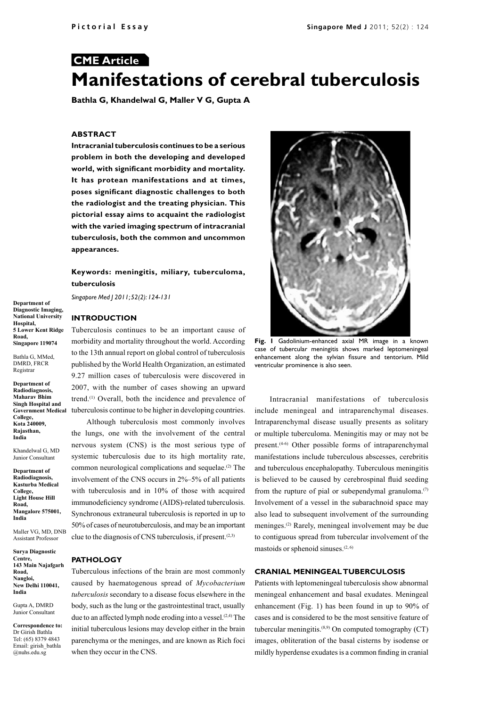# **CME Article Manifestations of cerebral tuberculosis**

**Bathla G, Khandelwal G, Maller V G, Gupta A**

#### **ABSTRACT**

**Intracranial tuberculosis continues to be a serious problem in both the developing and developed world, with significant morbidity and mortality. It has protean manifestations and at times, poses significant diagnostic challenges to both the radiologist and the treating physician. This pictorial essay aims to acquaint the radiologist with the varied imaging spectrum of intracranial tuberculosis, both the common and uncommon appearances.**

## **Keywords: meningitis, miliary, tuberculoma, tuberculosis**

*Singapore Med J 2011; 52(2): 124-131*

## **INTRODUCTION**

Tuberculosis continues to be an important cause of morbidity and mortality throughout the world. According to the 13th annual report on global control of tuberculosis published by the World Health Organization, an estimated 9.27 million cases of tuberculosis were discovered in 2007, with the number of cases showing an upward trend.(1) Overall, both the incidence and prevalence of tuberculosis continue to be higher in developing countries.

Although tuberculosis most commonly involves the lungs, one with the involvement of the central nervous system (CNS) is the most serious type of systemic tuberculosis due to its high mortality rate, common neurological complications and sequelae.<sup>(2)</sup> The involvement of the CNS occurs in 2%–5% of all patients with tuberculosis and in 10% of those with acquired immunodeficiency syndrome (AIDS)-related tuberculosis. Synchronous extraneural tuberculosis is reported in up to 50% of cases of neurotuberculosis, and may be an important clue to the diagnosis of CNS tuberculosis, if present.<sup>(2,3)</sup>

# **PATHOLOGY**

Tuberculous infections of the brain are most commonly caused by haematogenous spread of *Mycobacterium tuberculosis* secondary to a disease focus elsewhere in the body, such as the lung or the gastrointestinal tract, usually due to an affected lymph node eroding into a vessel.<sup> $(2,4)$ </sup> The initial tuberculous lesions may develop either in the brain parenchyma or the meninges, and are known as Rich foci when they occur in the CNS.



**Fig. 1** Gadolinium-enhanced axial MR image in a known case of tubercular meningitis shows marked leptomeningeal enhancement along the sylvian fissure and tentorium. Mild ventricular prominence is also seen.

Intracranial manifestations of tuberculosis include meningeal and intraparenchymal diseases. Intraparenchymal disease usually presents as solitary or multiple tuberculoma. Meningitis may or may not be present.<sup>(4-6)</sup> Other possible forms of intraparenchymal manifestations include tuberculous abscesses, cerebritis and tuberculous encephalopathy. Tuberculous meningitis is believed to be caused by cerebrospinal fluid seeding from the rupture of pial or subependymal granuloma.<sup>(7)</sup> Involvement of a vessel in the subarachnoid space may also lead to subsequent involvement of the surrounding meninges.(2) Rarely, meningeal involvement may be due to contiguous spread from tubercular involvement of the mastoids or sphenoid sinuses. $(2, 6)$ 

## **CRANIAL MENINGEAL TUBERCULOSIS**

Patients with leptomeningeal tuberculosis show abnormal meningeal enhancement and basal exudates. Meningeal enhancement (Fig. 1) has been found in up to 90% of cases and is considered to be the most sensitive feature of tubercular meningitis. $(8,9)$  On computed tomography (CT) images, obliteration of the basal cisterns by isodense or mildly hyperdense exudates is a common finding in cranial

**Department of Diagnostic Imaging, National University Hospital, 5 Lower Kent Ridge Road, Singapore 119074**

Bathla G, MMed, DMRD, FRCR Registrar

**Department of Radiodiagnosis, Maharav Bhim Singh Hospital and Government Medical College, Kota 240009, Rajasthan, India**

Khandelwal G, MD Junior Consultant

**Department of Radiodiagnosis, Kasturba Medical College, Light House Hill Road, Mangalore 575001, India**

Maller VG, MD, DNB Assistant Professor

**Surya Diagnostic Centre, 143 Main Najafgarh Road, Nangloi, New Delhi 110041, India**

Gupta A, DMRD Junior Consultant

**Correspondence to:** Dr Girish Bathla Tel: (65) 8379 4843 Email: girish\_bathla @nuhs.edu.sg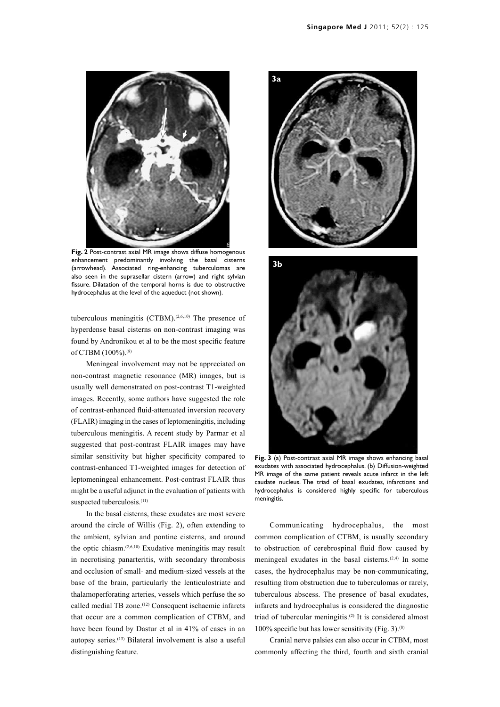

**Fig. 2** Post-contrast axial MR image shows diffuse homogenous enhancement predominantly involving the basal cisterns (arrowhead). Associated ring-enhancing tuberculomas are also seen in the suprasellar cistern (arrow) and right sylvian fissure. Dilatation of the temporal horns is due to obstructive hydrocephalus at the level of the aqueduct (not shown).

tuberculous meningitis  $(CTBM)^{(2,6,10)}$  The presence of hyperdense basal cisterns on non-contrast imaging was found by Andronikou et al to be the most specific feature of CTBM (100%).<sup>(8)</sup>

Meningeal involvement may not be appreciated on non-contrast magnetic resonance (MR) images, but is usually well demonstrated on post-contrast T1-weighted images. Recently, some authors have suggested the role of contrast-enhanced fluid-attenuated inversion recovery (FLAIR) imaging in the cases of leptomeningitis, including tuberculous meningitis. A recent study by Parmar et al suggested that post-contrast FLAIR images may have similar sensitivity but higher specificity compared to contrast-enhanced T1-weighted images for detection of leptomeningeal enhancement. Post-contrast FLAIR thus might be a useful adjunct in the evaluation of patients with suspected tuberculosis.<sup>(11)</sup>

In the basal cisterns, these exudates are most severe around the circle of Willis (Fig. 2), often extending to the ambient, sylvian and pontine cisterns, and around the optic chiasm. $(2,6,10)$  Exudative meningitis may result in necrotising panarteritis, with secondary thrombosis and occlusion of small- and medium-sized vessels at the base of the brain, particularly the lenticulostriate and thalamoperforating arteries, vessels which perfuse the so called medial TB zone.(12) Consequent ischaemic infarcts that occur are a common complication of CTBM, and have been found by Dastur et al in 41% of cases in an autopsy series.(13) Bilateral involvement is also a useful distinguishing feature.





**Fig. 3** (a) Post-contrast axial MR image shows enhancing basal exudates with associated hydrocephalus. (b) Diffusion-weighted MR image of the same patient reveals acute infarct in the left caudate nucleus. The triad of basal exudates, infarctions and hydrocephalus is considered highly specific for tuberculous meningitis.

Communicating hydrocephalus, the most common complication of CTBM, is usually secondary to obstruction of cerebrospinal fluid flow caused by meningeal exudates in the basal cisterns. $(2,4)$  In some cases, the hydrocephalus may be non-communicating, resulting from obstruction due to tuberculomas or rarely, tuberculous abscess. The presence of basal exudates, infarcts and hydrocephalus is considered the diagnostic triad of tubercular meningitis.(2) It is considered almost 100% specific but has lower sensitivity (Fig. 3).<sup>(8)</sup>

Cranial nerve palsies can also occur in CTBM, most commonly affecting the third, fourth and sixth cranial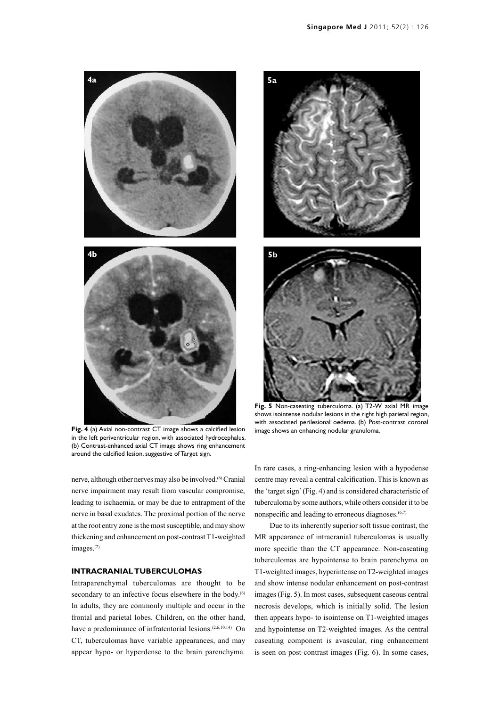

**Fig. 4** (a) Axial non-contrast CT image shows a calcified lesion in the left periventricular region, with associated hydrocephalus. (b) Contrast-enhanced axial CT image shows ring enhancement around the calcified lesion, suggestive of Target sign.

nerve, although other nerves may also be involved.<sup>(6)</sup> Cranial nerve impairment may result from vascular compromise, leading to ischaemia, or may be due to entrapment of the nerve in basal exudates. The proximal portion of the nerve at the root entry zone is the most susceptible, and may show thickening and enhancement on post-contrast T1-weighted images.<sup>(2)</sup>

## **INTRACRANIAL TUBERCULOMAS**

Intraparenchymal tuberculomas are thought to be secondary to an infective focus elsewhere in the body.<sup>(6)</sup> In adults, they are commonly multiple and occur in the frontal and parietal lobes. Children, on the other hand, have a predominance of infratentorial lesions.<sup>(2,6,10,14)</sup> On CT, tuberculomas have variable appearances, and may appear hypo- or hyperdense to the brain parenchyma.



**Fig. 5** Non-caseating tuberculoma. (a) T2-W axial MR image shows isointense nodular lesions in the right high parietal region, with associated perilesional oedema. (b) Post-contrast coronal image shows an enhancing nodular granuloma.

In rare cases, a ring-enhancing lesion with a hypodense centre may reveal a central calcification. This is known as the 'target sign' (Fig. 4) and is considered characteristic of tuberculoma by some authors, while others consider it to be nonspecific and leading to erroneous diagnoses.<sup>(6,7)</sup>

Due to its inherently superior soft tissue contrast, the MR appearance of intracranial tuberculomas is usually more specific than the CT appearance. Non-caseating tuberculomas are hypointense to brain parenchyma on T1-weighted images, hyperintense on T2-weighted images and show intense nodular enhancement on post-contrast images (Fig. 5). In most cases, subsequent caseous central necrosis develops, which is initially solid. The lesion then appears hypo- to isointense on T1-weighted images and hypointense on T2-weighted images. As the central caseating component is avascular, ring enhancement is seen on post-contrast images (Fig. 6). In some cases,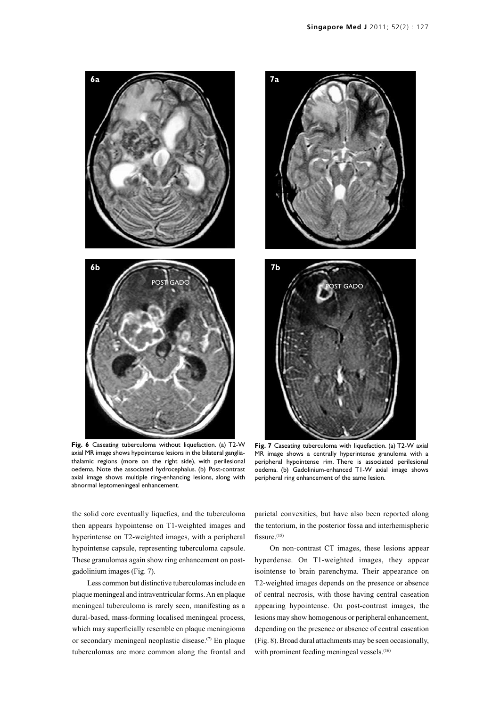

**Fig. 6** Caseating tuberculoma without liquefaction. (a) T2-W axial MR image shows hypointense lesions in the bilateral gangliathalamic regions (more on the right side), with perilesional oedema. Note the associated hydrocephalus. (b) Post-contrast axial image shows multiple ring-enhancing lesions, along with abnormal leptomeningeal enhancement.



**Fig. 7** Caseating tuberculoma with liquefaction. (a) T2-W axial MR image shows a centrally hyperintense granuloma with a peripheral hypointense rim. There is associated perilesional oedema. (b) Gadolinium-enhanced T1-W axial image shows peripheral ring enhancement of the same lesion.

the solid core eventually liquefies, and the tuberculoma then appears hypointense on T1-weighted images and hyperintense on T2-weighted images, with a peripheral hypointense capsule, representing tuberculoma capsule. These granulomas again show ring enhancement on postgadolinium images (Fig. 7).

Less common but distinctive tuberculomas include en plaque meningeal and intraventricular forms. An en plaque meningeal tuberculoma is rarely seen, manifesting as a dural-based, mass-forming localised meningeal process, which may superficially resemble en plaque meningioma or secondary meningeal neoplastic disease.(7) En plaque tuberculomas are more common along the frontal and parietal convexities, but have also been reported along the tentorium, in the posterior fossa and interhemispheric fissure. $(15)$ 

On non-contrast CT images, these lesions appear hyperdense. On T1-weighted images, they appear isointense to brain parenchyma. Their appearance on T2-weighted images depends on the presence or absence of central necrosis, with those having central caseation appearing hypointense. On post-contrast images, the lesions may show homogenous or peripheral enhancement, depending on the presence or absence of central caseation (Fig. 8). Broad dural attachments may be seen occasionally, with prominent feeding meningeal vessels.<sup>(16)</sup>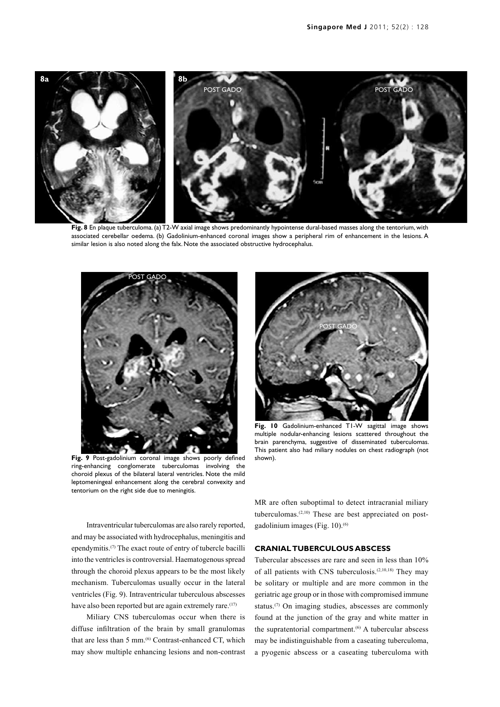

Fig. 8 En plaque tuberculoma. (a) T2-W axial image shows predominantly hypointense dural-based masses along the tentorium, with associated cerebellar oedema. (b) Gadolinium-enhanced coronal images show a peripheral rim of enhancement in the lesions. A similar lesion is also noted along the falx. Note the associated obstructive hydrocephalus.



**Fig. 9** Post-gadolinium coronal image shows poorly defined ring-enhancing conglomerate tuberculomas involving the choroid plexus of the bilateral lateral ventricles. Note the mild leptomeningeal enhancement along the cerebral convexity and tentorium on the right side due to meningitis.



**Fig. 10** Gadolinium-enhanced T1-W sagittal image shows multiple nodular-enhancing lesions scattered throughout the brain parenchyma, suggestive of disseminated tuberculomas. This patient also had miliary nodules on chest radiograph (not shown).

Intraventricular tuberculomas are also rarely reported, and may be associated with hydrocephalus, meningitis and ependymitis.<sup>(7)</sup> The exact route of entry of tubercle bacilli into the ventricles is controversial. Haematogenous spread through the choroid plexus appears to be the most likely mechanism. Tuberculomas usually occur in the lateral ventricles (Fig. 9). Intraventricular tuberculous abscesses have also been reported but are again extremely rare.<sup>(17)</sup>

Miliary CNS tuberculomas occur when there is diffuse infiltration of the brain by small granulomas that are less than 5 mm.<sup>(6)</sup> Contrast-enhanced CT, which may show multiple enhancing lesions and non-contrast MR are often suboptimal to detect intracranial miliary tuberculomas.<sup>(2,10)</sup> These are best appreciated on postgadolinium images (Fig.  $10$ ).<sup>(6)</sup>

## **CRANIAL TUBERCULOUS ABSCESS**

Tubercular abscesses are rare and seen in less than 10% of all patients with CNS tuberculosis.(2,10,18) They may be solitary or multiple and are more common in the geriatric age group or in those with compromised immune status.<sup>(7)</sup> On imaging studies, abscesses are commonly found at the junction of the gray and white matter in the supratentorial compartment.<sup>(6)</sup> A tubercular abscess may be indistinguishable from a caseating tuberculoma, a pyogenic abscess or a caseating tuberculoma with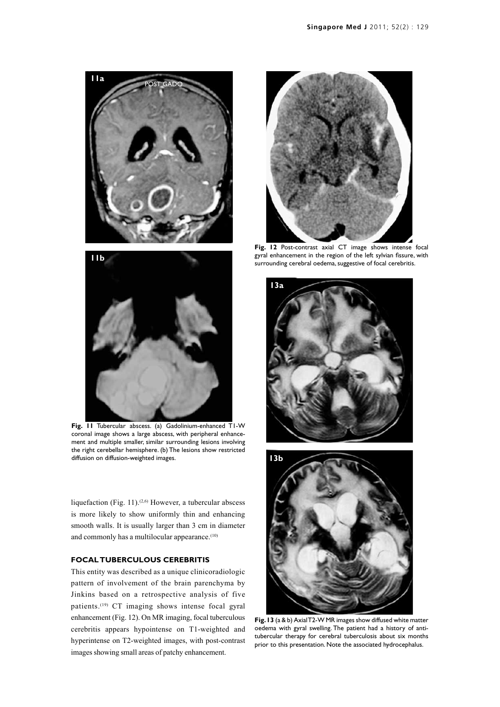

**Fig. 11** Tubercular abscess. (a) Gadolinium-enhanced T1-W coronal image shows a large abscess, with peripheral enhancement and multiple smaller, similar surrounding lesions involving the right cerebellar hemisphere. (b) The lesions show restricted diffusion on diffusion-weighted images.

liquefaction (Fig. 11).<sup>(2,6)</sup> However, a tubercular abscess is more likely to show uniformly thin and enhancing smooth walls. It is usually larger than 3 cm in diameter and commonly has a multilocular appearance.<sup>(10)</sup>

## **FOCAL TUBERCULOUS CEREBRITIS**

This entity was described as a unique clinicoradiologic pattern of involvement of the brain parenchyma by Jinkins based on a retrospective analysis of five patients.<sup>(19)</sup> CT imaging shows intense focal gyral enhancement (Fig. 12). On MR imaging, focal tuberculous cerebritis appears hypointense on T1-weighted and hyperintense on T2-weighted images, with post-contrast images showing small areas of patchy enhancement.



**Fig. 12** Post-contrast axial CT image shows intense focal gyral enhancement in the region of the left sylvian fissure, with surrounding cerebral oedema, suggestive of focal cerebritis.





**Fig. 13** (a & b) Axial T2-W MR images show diffused white matter oedema with gyral swelling. The patient had a history of antitubercular therapy for cerebral tuberculosis about six months prior to this presentation. Note the associated hydrocephalus.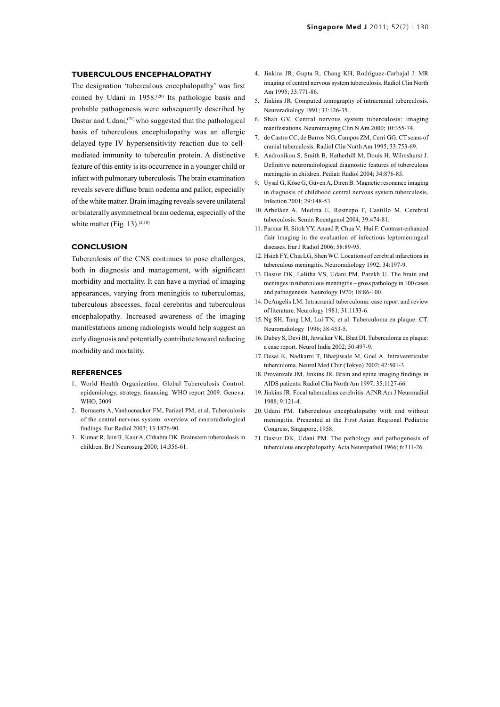#### **TUBERCULOUS ENCEPHALOPATHY**

The designation 'tuberculous encephalopathy' was first coined by Udani in 1958.<sup>(20)</sup> Its pathologic basis and probable pathogenesis were subsequently described by Dastur and Udani,<sup>(21)</sup> who suggested that the pathological basis of tuberculous encephalopathy was an allergic delayed type IV hypersensitivity reaction due to cellmediated immunity to tuberculin protein. A distinctive feature of this entity is its occurrence in a younger child or infant with pulmonary tuberculosis. The brain examination reveals severe diffuse brain oedema and pallor, especially of the white matter. Brain imaging reveals severe unilateral or bilaterally asymmetrical brain oedema, especially of the white matter (Fig. 13). $(2,10)$ 

#### **CONCLUSION**

Tuberculosis of the CNS continues to pose challenges, both in diagnosis and management, with significant morbidity and mortality. It can have a myriad of imaging appearances, varying from meningitis to tuberculomas, tuberculous abscesses, focal cerebritis and tuberculous encephalopathy. Increased awareness of the imaging manifestations among radiologists would help suggest an early diagnosis and potentially contribute toward reducing morbidity and mortality.

#### **REFERENCES**

- 1. World Health Organization. Global Tuberculosis Control: epidemiology, strategy, financing: WHO report 2009. Geneva: WHO, 2009
- 2. Bernaerts A, Vanhoenacker FM, Parizel PM, et al. Tuberculosis of the central nervous system: overview of neuroradiological findings. Eur Radiol 2003; 13:1876-90.
- 3. Kumar R, Jain R, Kaur A, Chhabra DK. Brainstem tuberculosis in children. Br J Neurosurg 2000; 14:356-61.
- 4. Jinkins JR, Gupta R, Chang KH, Rodriguez-Carbajal J. MR imaging of central nervous system tuberculosis. Radiol Clin North Am 1995; 33:771-86.
- 5. Jinkins JR. Computed tomography of intracranial tuberculosis. Neuroradiology 1991; 33:126-35.
- 6. Shah GV. Central nervous system tuberculosis: imaging manifestations. Neuroimaging Clin N Am 2000; 10:355-74.
- 7. de Castro CC, de Barros NG, Campos ZM, Cerri GG. CT scans of cranial tuberculosis. Radiol Clin North Am 1995; 33:753-69.
- 8. Andronikou S, Smith B, Hatherhill M, Douis H, Wilmshurst J. Definitive neuroradiological diagnostic features of tuberculous meningitis in children. Pediatr Radiol 2004; 34:876-85.
- 9. Uysal G, Köse G, Güven A, Diren B. Magnetic resonance imaging in diagnosis of childhood central nervous system tuberculosis. Infection 2001; 29:148-53.
- 10. Arbeláez A, Medina E, Restrepo F, Castillo M. Cerebral tuberculosis. Semin Roentgenol 2004; 39:474-81.
- 11. Parmar H, Sitoh YY, Anand P, Chua V, Hui F. Contrast-enhanced flair imaging in the evaluation of infectious leptomeningeal diseases. Eur J Radiol 2006; 58:89-95.
- 12. Hsieh FY, Chia LG, Shen WC. Locations of cerebral infarctions in tuberculous meningitis. Neuroradiology 1992; 34:197-9.
- 13. Dastur DK, Lalitha VS, Udani PM, Parekh U. The brain and meninges in tuberculous meningitis – gross pathology in 100 cases and pathogenesis. Neurology 1970; 18:86-100.
- 14. DeAngelis LM. Intracranial tuberculoma: case report and review of literature. Neurology 1981; 31:1133-6.
- 15. Ng SH, Tang LM, Lui TN, et al. Tuberculoma en plaque: CT. Neuroradiology 1996; 38:453-5.
- 16. Dubey S, Devi BI, Jawalkar VK, Bhat DI. Tuberculoma en plaque: a case report. Neurol India 2002; 50:497-9.
- 17. Desai K, Nadkarni T, Bhatjiwale M, Goel A. Intraventricular tuberculoma. Neurol Med Chir (Tokyo) 2002; 42:501-3.
- 18. Provenzale JM, Jinkins JR. Brain and spine imaging findings in AIDS patients. Radiol Clin North Am 1997; 35:1127-66.
- 19. Jinkins JR. Focal tuberculous cerebritis. AJNR Am J Neuroradiol 1988; 9:121-4.
- 20. Udani PM. Tuberculous encephalopathy with and without meningitis. Presented at the First Asian Regional Pediatric Congress, Singapore, 1958.
- 21. Dastur DK, Udani PM. The pathology and pathogenesis of tuberculous encephalopathy. Acta Neuropathol 1966; 6:311-26.